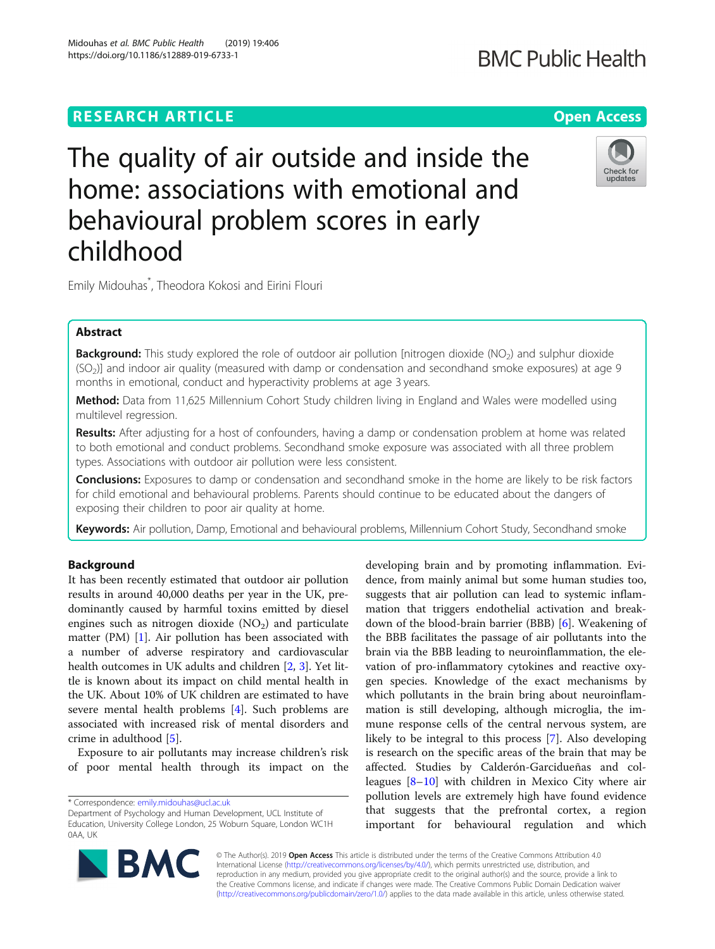# **RESEARCH ARTICLE Example 2014 12:30 The Open Access**

# The quality of air outside and inside the home: associations with emotional and behavioural problem scores in early childhood

Emily Midouhas\* , Theodora Kokosi and Eirini Flouri

# Abstract

Background: This study explored the role of outdoor air pollution [nitrogen dioxide (NO<sub>2</sub>) and sulphur dioxide (SO<sub>2</sub>)] and indoor air quality (measured with damp or condensation and secondhand smoke exposures) at age 9 months in emotional, conduct and hyperactivity problems at age 3 years.

Method: Data from 11,625 Millennium Cohort Study children living in England and Wales were modelled using multilevel regression.

**Results:** After adjusting for a host of confounders, having a damp or condensation problem at home was related to both emotional and conduct problems. Secondhand smoke exposure was associated with all three problem types. Associations with outdoor air pollution were less consistent.

**Conclusions:** Exposures to damp or condensation and secondhand smoke in the home are likely to be risk factors for child emotional and behavioural problems. Parents should continue to be educated about the dangers of exposing their children to poor air quality at home.

Keywords: Air pollution, Damp, Emotional and behavioural problems, Millennium Cohort Study, Secondhand smoke

# Background

It has been recently estimated that outdoor air pollution results in around 40,000 deaths per year in the UK, predominantly caused by harmful toxins emitted by diesel engines such as nitrogen dioxide  $(NO<sub>2</sub>)$  and particulate matter (PM) [\[1](#page-7-0)]. Air pollution has been associated with a number of adverse respiratory and cardiovascular health outcomes in UK adults and children [\[2](#page-7-0), [3](#page-7-0)]. Yet little is known about its impact on child mental health in the UK. About 10% of UK children are estimated to have severe mental health problems [\[4](#page-7-0)]. Such problems are associated with increased risk of mental disorders and crime in adulthood [\[5](#page-7-0)].

Exposure to air pollutants may increase children's risk of poor mental health through its impact on the

\* Correspondence: [emily.midouhas@ucl.ac.uk](mailto:emily.midouhas@ucl.ac.uk)

**BMC** 

© The Author(s). 2019 Open Access This article is distributed under the terms of the Creative Commons Attribution 4.0 International License [\(http://creativecommons.org/licenses/by/4.0/](http://creativecommons.org/licenses/by/4.0/)), which permits unrestricted use, distribution, and reproduction in any medium, provided you give appropriate credit to the original author(s) and the source, provide a link to the Creative Commons license, and indicate if changes were made. The Creative Commons Public Domain Dedication waiver [\(http://creativecommons.org/publicdomain/zero/1.0/](http://creativecommons.org/publicdomain/zero/1.0/)) applies to the data made available in this article, unless otherwise stated.

developing brain and by promoting inflammation. Evidence, from mainly animal but some human studies too, suggests that air pollution can lead to systemic inflammation that triggers endothelial activation and breakdown of the blood-brain barrier (BBB) [\[6](#page-7-0)]. Weakening of the BBB facilitates the passage of air pollutants into the brain via the BBB leading to neuroinflammation, the elevation of pro-inflammatory cytokines and reactive oxygen species. Knowledge of the exact mechanisms by which pollutants in the brain bring about neuroinflammation is still developing, although microglia, the immune response cells of the central nervous system, are likely to be integral to this process [\[7](#page-7-0)]. Also developing is research on the specific areas of the brain that may be affected. Studies by Calderón-Garcidueñas and colleagues [[8](#page-8-0)–[10\]](#page-8-0) with children in Mexico City where air pollution levels are extremely high have found evidence that suggests that the prefrontal cortex, a region important for behavioural regulation and which



Department of Psychology and Human Development, UCL Institute of Education, University College London, 25 Woburn Square, London WC1H 0AA, UK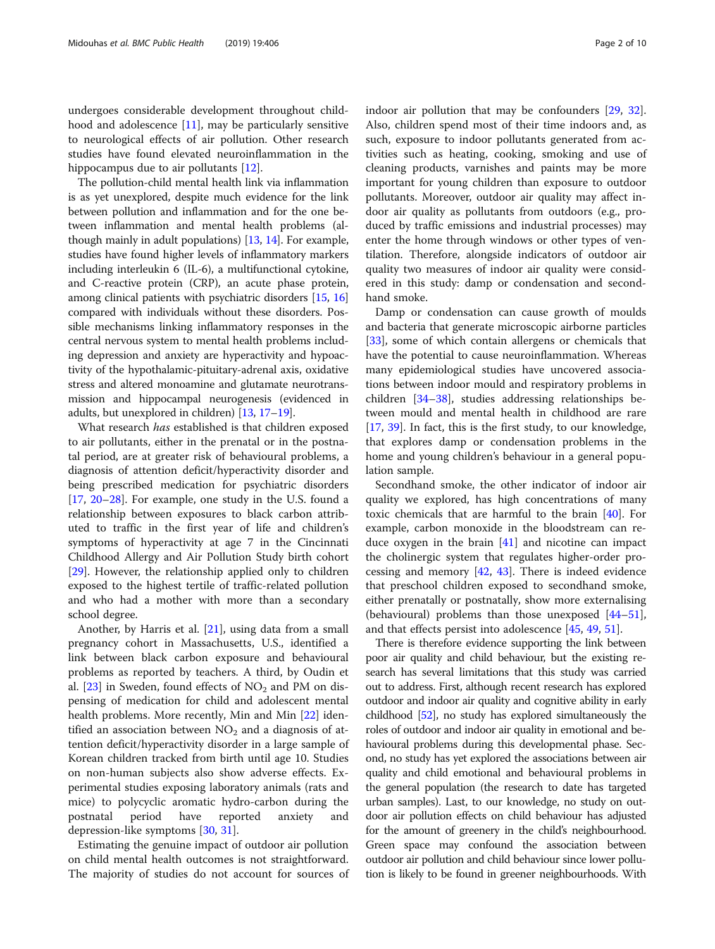hood and adolescence [\[11](#page-8-0)], may be particularly sensitive to neurological effects of air pollution. Other research studies have found elevated neuroinflammation in the hippocampus due to air pollutants [[12\]](#page-8-0).

The pollution-child mental health link via inflammation is as yet unexplored, despite much evidence for the link between pollution and inflammation and for the one between inflammation and mental health problems (although mainly in adult populations) [[13](#page-8-0), [14\]](#page-8-0). For example, studies have found higher levels of inflammatory markers including interleukin 6 (IL-6), a multifunctional cytokine, and C-reactive protein (CRP), an acute phase protein, among clinical patients with psychiatric disorders [[15,](#page-8-0) [16](#page-8-0)] compared with individuals without these disorders. Possible mechanisms linking inflammatory responses in the central nervous system to mental health problems including depression and anxiety are hyperactivity and hypoactivity of the hypothalamic-pituitary-adrenal axis, oxidative stress and altered monoamine and glutamate neurotransmission and hippocampal neurogenesis (evidenced in adults, but unexplored in children) [\[13](#page-8-0), [17](#page-8-0)–[19\]](#page-8-0).

What research has established is that children exposed to air pollutants, either in the prenatal or in the postnatal period, are at greater risk of behavioural problems, a diagnosis of attention deficit/hyperactivity disorder and being prescribed medication for psychiatric disorders [[17,](#page-8-0) [20](#page-8-0)–[28\]](#page-8-0). For example, one study in the U.S. found a relationship between exposures to black carbon attributed to traffic in the first year of life and children's symptoms of hyperactivity at age 7 in the Cincinnati Childhood Allergy and Air Pollution Study birth cohort [[29\]](#page-8-0). However, the relationship applied only to children exposed to the highest tertile of traffic-related pollution and who had a mother with more than a secondary school degree.

Another, by Harris et al. [[21\]](#page-8-0), using data from a small pregnancy cohort in Massachusetts, U.S., identified a link between black carbon exposure and behavioural problems as reported by teachers. A third, by Oudin et al. [\[23\]](#page-8-0) in Sweden, found effects of  $NO<sub>2</sub>$  and PM on dispensing of medication for child and adolescent mental health problems. More recently, Min and Min [\[22](#page-8-0)] identified an association between  $NO<sub>2</sub>$  and a diagnosis of attention deficit/hyperactivity disorder in a large sample of Korean children tracked from birth until age 10. Studies on non-human subjects also show adverse effects. Experimental studies exposing laboratory animals (rats and mice) to polycyclic aromatic hydro-carbon during the postnatal period have reported anxiety and depression-like symptoms [\[30,](#page-8-0) [31\]](#page-8-0).

Estimating the genuine impact of outdoor air pollution on child mental health outcomes is not straightforward. The majority of studies do not account for sources of indoor air pollution that may be confounders [\[29,](#page-8-0) [32](#page-8-0)]. Also, children spend most of their time indoors and, as such, exposure to indoor pollutants generated from activities such as heating, cooking, smoking and use of cleaning products, varnishes and paints may be more important for young children than exposure to outdoor pollutants. Moreover, outdoor air quality may affect indoor air quality as pollutants from outdoors (e.g., produced by traffic emissions and industrial processes) may enter the home through windows or other types of ventilation. Therefore, alongside indicators of outdoor air quality two measures of indoor air quality were considered in this study: damp or condensation and secondhand smoke.

Damp or condensation can cause growth of moulds and bacteria that generate microscopic airborne particles [[33\]](#page-8-0), some of which contain allergens or chemicals that have the potential to cause neuroinflammation. Whereas many epidemiological studies have uncovered associations between indoor mould and respiratory problems in children [\[34](#page-8-0)–[38\]](#page-8-0), studies addressing relationships between mould and mental health in childhood are rare [[17,](#page-8-0) [39\]](#page-8-0). In fact, this is the first study, to our knowledge, that explores damp or condensation problems in the home and young children's behaviour in a general population sample.

Secondhand smoke, the other indicator of indoor air quality we explored, has high concentrations of many toxic chemicals that are harmful to the brain [\[40](#page-8-0)]. For example, carbon monoxide in the bloodstream can reduce oxygen in the brain  $[41]$  $[41]$  and nicotine can impact the cholinergic system that regulates higher-order processing and memory  $[42, 43]$  $[42, 43]$  $[42, 43]$ . There is indeed evidence that preschool children exposed to secondhand smoke, either prenatally or postnatally, show more externalising (behavioural) problems than those unexposed [[44](#page-8-0)–[51](#page-8-0)], and that effects persist into adolescence [[45,](#page-8-0) [49,](#page-8-0) [51\]](#page-8-0).

There is therefore evidence supporting the link between poor air quality and child behaviour, but the existing research has several limitations that this study was carried out to address. First, although recent research has explored outdoor and indoor air quality and cognitive ability in early childhood [\[52](#page-9-0)], no study has explored simultaneously the roles of outdoor and indoor air quality in emotional and behavioural problems during this developmental phase. Second, no study has yet explored the associations between air quality and child emotional and behavioural problems in the general population (the research to date has targeted urban samples). Last, to our knowledge, no study on outdoor air pollution effects on child behaviour has adjusted for the amount of greenery in the child's neighbourhood. Green space may confound the association between outdoor air pollution and child behaviour since lower pollution is likely to be found in greener neighbourhoods. With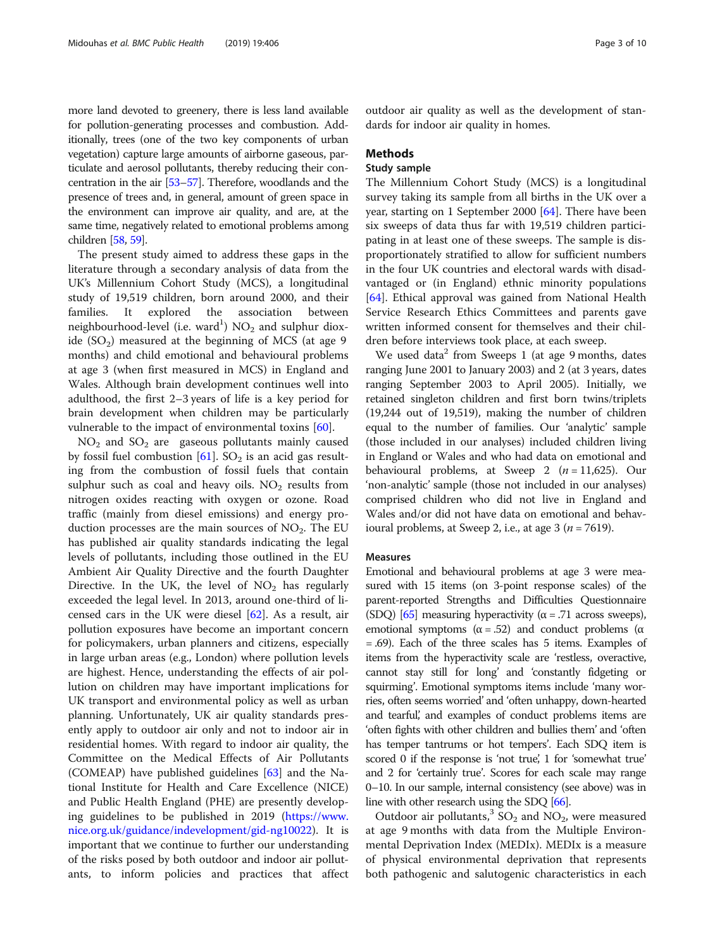more land devoted to greenery, there is less land available for pollution-generating processes and combustion. Additionally, trees (one of the two key components of urban vegetation) capture large amounts of airborne gaseous, particulate and aerosol pollutants, thereby reducing their concentration in the air [\[53](#page-9-0)–[57](#page-9-0)]. Therefore, woodlands and the presence of trees and, in general, amount of green space in the environment can improve air quality, and are, at the same time, negatively related to emotional problems among children [\[58,](#page-9-0) [59\]](#page-9-0).

The present study aimed to address these gaps in the literature through a secondary analysis of data from the UK's Millennium Cohort Study (MCS), a longitudinal study of 19,519 children, born around 2000, and their families. It explored the association between neighbourhood-level (i.e. ward $^{\rm l)}$  NO<sub>2</sub> and sulphur dioxide  $(SO<sub>2</sub>)$  measured at the beginning of MCS (at age 9 months) and child emotional and behavioural problems at age 3 (when first measured in MCS) in England and Wales. Although brain development continues well into adulthood, the first 2–3 years of life is a key period for brain development when children may be particularly vulnerable to the impact of environmental toxins [[60\]](#page-9-0).

 $NO<sub>2</sub>$  and  $SO<sub>2</sub>$  are gaseous pollutants mainly caused by fossil fuel combustion  $[61]$  $[61]$ . SO<sub>2</sub> is an acid gas resulting from the combustion of fossil fuels that contain sulphur such as coal and heavy oils.  $NO<sub>2</sub>$  results from nitrogen oxides reacting with oxygen or ozone. Road traffic (mainly from diesel emissions) and energy production processes are the main sources of  $NO<sub>2</sub>$ . The EU has published air quality standards indicating the legal levels of pollutants, including those outlined in the EU Ambient Air Quality Directive and the fourth Daughter Directive. In the UK, the level of  $NO<sub>2</sub>$  has regularly exceeded the legal level. In 2013, around one-third of licensed cars in the UK were diesel [\[62](#page-9-0)]. As a result, air pollution exposures have become an important concern for policymakers, urban planners and citizens, especially in large urban areas (e.g., London) where pollution levels are highest. Hence, understanding the effects of air pollution on children may have important implications for UK transport and environmental policy as well as urban planning. Unfortunately, UK air quality standards presently apply to outdoor air only and not to indoor air in residential homes. With regard to indoor air quality, the Committee on the Medical Effects of Air Pollutants (COMEAP) have published guidelines [\[63](#page-9-0)] and the National Institute for Health and Care Excellence (NICE) and Public Health England (PHE) are presently developing guidelines to be published in 2019 ([https://www.](https://www.nice.org.uk/guidance/indevelopment/gid-ng10022) [nice.org.uk/guidance/indevelopment/gid-ng10022\)](https://www.nice.org.uk/guidance/indevelopment/gid-ng10022). It is important that we continue to further our understanding of the risks posed by both outdoor and indoor air pollutants, to inform policies and practices that affect

outdoor air quality as well as the development of standards for indoor air quality in homes.

# Methods

# Study sample

The Millennium Cohort Study (MCS) is a longitudinal survey taking its sample from all births in the UK over a year, starting on 1 September 2000 [[64\]](#page-9-0). There have been six sweeps of data thus far with 19,519 children participating in at least one of these sweeps. The sample is disproportionately stratified to allow for sufficient numbers in the four UK countries and electoral wards with disadvantaged or (in England) ethnic minority populations [[64\]](#page-9-0). Ethical approval was gained from National Health Service Research Ethics Committees and parents gave written informed consent for themselves and their children before interviews took place, at each sweep.

We used data<sup>2</sup> from Sweeps 1 (at age 9 months, dates ranging June 2001 to January 2003) and 2 (at 3 years, dates ranging September 2003 to April 2005). Initially, we retained singleton children and first born twins/triplets (19,244 out of 19,519), making the number of children equal to the number of families. Our 'analytic' sample (those included in our analyses) included children living in England or Wales and who had data on emotional and behavioural problems, at Sweep 2  $(n = 11,625)$ . Our 'non-analytic' sample (those not included in our analyses) comprised children who did not live in England and Wales and/or did not have data on emotional and behavioural problems, at Sweep 2, i.e., at age 3 ( $n = 7619$ ).

## Measures

Emotional and behavioural problems at age 3 were measured with 15 items (on 3-point response scales) of the parent-reported Strengths and Difficulties Questionnaire (SDQ) [\[65](#page-9-0)] measuring hyperactivity ( $\alpha$  = .71 across sweeps), emotional symptoms ( $α = .52$ ) and conduct problems ( $α$ = .69). Each of the three scales has 5 items. Examples of items from the hyperactivity scale are 'restless, overactive, cannot stay still for long' and 'constantly fidgeting or squirming'. Emotional symptoms items include 'many worries, often seems worried' and 'often unhappy, down-hearted and tearful', and examples of conduct problems items are 'often fights with other children and bullies them' and 'often has temper tantrums or hot tempers'. Each SDQ item is scored 0 if the response is 'not true', 1 for 'somewhat true' and 2 for 'certainly true'. Scores for each scale may range 0–10. In our sample, internal consistency (see above) was in line with other research using the SDQ [[66\]](#page-9-0).

Outdoor air pollutants,<sup>3</sup> SO<sub>2</sub> and NO<sub>2</sub>, were measured at age 9 months with data from the Multiple Environmental Deprivation Index (MEDIx). MEDIx is a measure of physical environmental deprivation that represents both pathogenic and salutogenic characteristics in each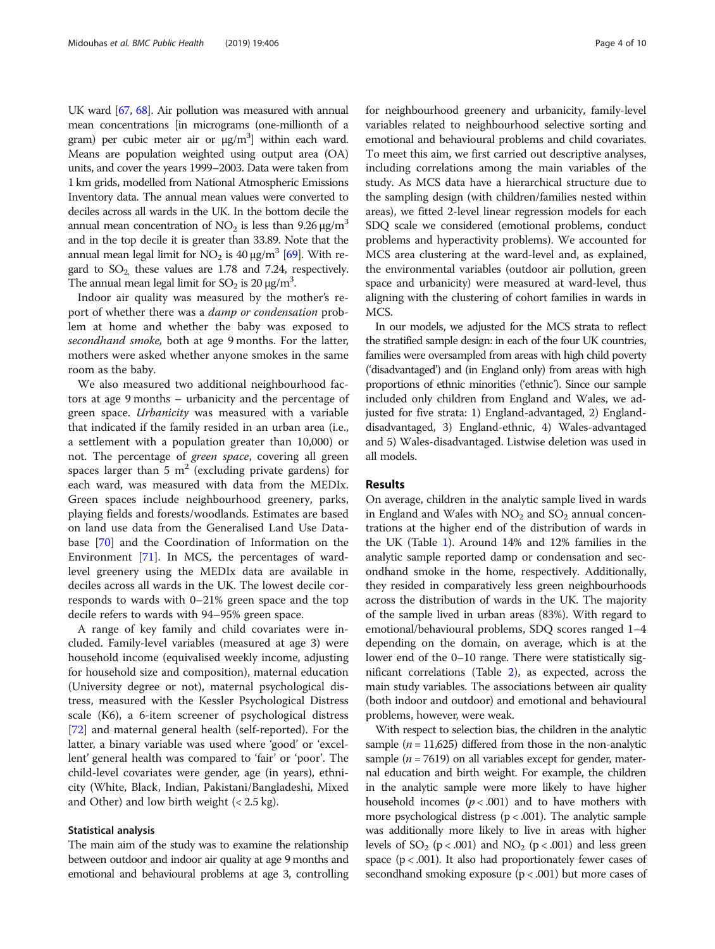UK ward [[67](#page-9-0), [68\]](#page-9-0). Air pollution was measured with annual mean concentrations [in micrograms (one-millionth of a gram) per cubic meter air or  $\mu$ g/m<sup>3</sup>] within each ward. Means are population weighted using output area (OA) units, and cover the years 1999–2003. Data were taken from 1 km grids, modelled from National Atmospheric Emissions Inventory data. The annual mean values were converted to deciles across all wards in the UK. In the bottom decile the annual mean concentration of  $NO<sub>2</sub>$  is less than 9.26  $\mu$ g/m<sup>3</sup> and in the top decile it is greater than 33.89. Note that the annual mean legal limit for NO<sub>2</sub> is 40 μg/m<sup>3</sup> [[69](#page-9-0)]. With regard to  $SO_2$  these values are 1.78 and 7.24, respectively. The annual mean legal limit for  $SO_2$  is 20  $\mu$ g/m<sup>3</sup>.

Indoor air quality was measured by the mother's report of whether there was a damp or condensation problem at home and whether the baby was exposed to secondhand smoke, both at age 9 months. For the latter, mothers were asked whether anyone smokes in the same room as the baby.

We also measured two additional neighbourhood factors at age 9 months – urbanicity and the percentage of green space. Urbanicity was measured with a variable that indicated if the family resided in an urban area (i.e., a settlement with a population greater than 10,000) or not. The percentage of green space, covering all green spaces larger than 5  $m<sup>2</sup>$  (excluding private gardens) for each ward, was measured with data from the MEDIx. Green spaces include neighbourhood greenery, parks, playing fields and forests/woodlands. Estimates are based on land use data from the Generalised Land Use Database [\[70](#page-9-0)] and the Coordination of Information on the Environment [[71](#page-9-0)]. In MCS, the percentages of wardlevel greenery using the MEDIx data are available in deciles across all wards in the UK. The lowest decile corresponds to wards with 0–21% green space and the top decile refers to wards with 94–95% green space.

A range of key family and child covariates were included. Family-level variables (measured at age 3) were household income (equivalised weekly income, adjusting for household size and composition), maternal education (University degree or not), maternal psychological distress, measured with the Kessler Psychological Distress scale (K6), a 6-item screener of psychological distress [[72\]](#page-9-0) and maternal general health (self-reported). For the latter, a binary variable was used where 'good' or 'excellent' general health was compared to 'fair' or 'poor'. The child-level covariates were gender, age (in years), ethnicity (White, Black, Indian, Pakistani/Bangladeshi, Mixed and Other) and low birth weight (< 2.5 kg).

## Statistical analysis

The main aim of the study was to examine the relationship between outdoor and indoor air quality at age 9 months and emotional and behavioural problems at age 3, controlling for neighbourhood greenery and urbanicity, family-level variables related to neighbourhood selective sorting and emotional and behavioural problems and child covariates. To meet this aim, we first carried out descriptive analyses, including correlations among the main variables of the study. As MCS data have a hierarchical structure due to the sampling design (with children/families nested within areas), we fitted 2-level linear regression models for each SDQ scale we considered (emotional problems, conduct problems and hyperactivity problems). We accounted for MCS area clustering at the ward-level and, as explained, the environmental variables (outdoor air pollution, green space and urbanicity) were measured at ward-level, thus aligning with the clustering of cohort families in wards in MCS.

In our models, we adjusted for the MCS strata to reflect the stratified sample design: in each of the four UK countries, families were oversampled from areas with high child poverty ('disadvantaged') and (in England only) from areas with high proportions of ethnic minorities ('ethnic'). Since our sample included only children from England and Wales, we adjusted for five strata: 1) England-advantaged, 2) Englanddisadvantaged, 3) England-ethnic, 4) Wales-advantaged and 5) Wales-disadvantaged. Listwise deletion was used in all models.

# Results

On average, children in the analytic sample lived in wards in England and Wales with  $NO<sub>2</sub>$  and  $SO<sub>2</sub>$  annual concentrations at the higher end of the distribution of wards in the UK (Table [1](#page-4-0)). Around 14% and 12% families in the analytic sample reported damp or condensation and secondhand smoke in the home, respectively. Additionally, they resided in comparatively less green neighbourhoods across the distribution of wards in the UK. The majority of the sample lived in urban areas (83%). With regard to emotional/behavioural problems, SDQ scores ranged 1–4 depending on the domain, on average, which is at the lower end of the 0–10 range. There were statistically significant correlations (Table [2](#page-5-0)), as expected, across the main study variables. The associations between air quality (both indoor and outdoor) and emotional and behavioural problems, however, were weak.

With respect to selection bias, the children in the analytic sample ( $n = 11,625$ ) differed from those in the non-analytic sample ( $n = 7619$ ) on all variables except for gender, maternal education and birth weight. For example, the children in the analytic sample were more likely to have higher household incomes  $(p < .001)$  and to have mothers with more psychological distress ( $p < .001$ ). The analytic sample was additionally more likely to live in areas with higher levels of  $SO_2$  ( $p < .001$ ) and  $NO_2$  ( $p < .001$ ) and less green space  $(p < .001)$ . It also had proportionately fewer cases of secondhand smoking exposure  $(p < .001)$  but more cases of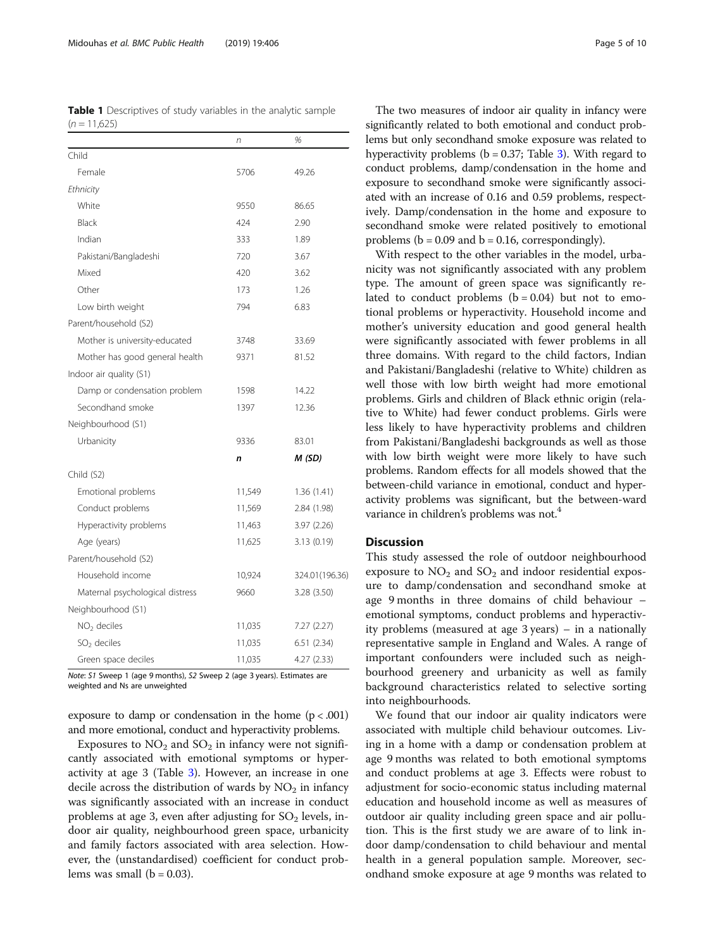<span id="page-4-0"></span>Table 1 Descriptives of study variables in the analytic sample  $(n = 11.625)$ 

| Child<br>Female<br>5706<br>49.26<br>Ethnicity<br>White<br>9550<br>86.65<br>Black<br>2.90<br>424<br>Indian<br>333<br>1.89<br>3.67<br>Pakistani/Bangladeshi<br>720<br>Mixed<br>420<br>3.62<br>Other<br>1.26<br>173<br>6.83<br>Low birth weight<br>794<br>Parent/household (S2)<br>Mother is university-educated<br>3748<br>33.69<br>Mother has good general health<br>81.52<br>9371<br>Indoor air quality (S1)<br>Damp or condensation problem<br>14.22<br>1598<br>Secondhand smoke<br>12.36<br>1397<br>Neighbourhood (S1)<br>Urbanicity<br>9336<br>83.01<br>M (SD)<br>n<br>Child (S2)<br>Emotional problems<br>11,549<br>1.36(1.41)<br>11,569<br>Conduct problems<br>2.84 (1.98)<br>Hyperactivity problems<br>3.97 (2.26)<br>11,463<br>Age (years)<br>11,625<br>3.13(0.19)<br>Parent/household (S2)<br>Household income<br>10,924<br>9660<br>Maternal psychological distress<br>3.28 (3.50)<br>Neighbourhood (S1)<br>$NO2$ deciles<br>11,035<br>7.27(2.27)<br>$SO2$ deciles<br>11,035<br>6.51(2.34)<br>Green space deciles<br>11,035<br>4.27 (2.33) | n | %              |
|----------------------------------------------------------------------------------------------------------------------------------------------------------------------------------------------------------------------------------------------------------------------------------------------------------------------------------------------------------------------------------------------------------------------------------------------------------------------------------------------------------------------------------------------------------------------------------------------------------------------------------------------------------------------------------------------------------------------------------------------------------------------------------------------------------------------------------------------------------------------------------------------------------------------------------------------------------------------------------------------------------------------------------------------------|---|----------------|
|                                                                                                                                                                                                                                                                                                                                                                                                                                                                                                                                                                                                                                                                                                                                                                                                                                                                                                                                                                                                                                                    |   |                |
|                                                                                                                                                                                                                                                                                                                                                                                                                                                                                                                                                                                                                                                                                                                                                                                                                                                                                                                                                                                                                                                    |   |                |
|                                                                                                                                                                                                                                                                                                                                                                                                                                                                                                                                                                                                                                                                                                                                                                                                                                                                                                                                                                                                                                                    |   |                |
|                                                                                                                                                                                                                                                                                                                                                                                                                                                                                                                                                                                                                                                                                                                                                                                                                                                                                                                                                                                                                                                    |   |                |
|                                                                                                                                                                                                                                                                                                                                                                                                                                                                                                                                                                                                                                                                                                                                                                                                                                                                                                                                                                                                                                                    |   |                |
|                                                                                                                                                                                                                                                                                                                                                                                                                                                                                                                                                                                                                                                                                                                                                                                                                                                                                                                                                                                                                                                    |   |                |
|                                                                                                                                                                                                                                                                                                                                                                                                                                                                                                                                                                                                                                                                                                                                                                                                                                                                                                                                                                                                                                                    |   |                |
|                                                                                                                                                                                                                                                                                                                                                                                                                                                                                                                                                                                                                                                                                                                                                                                                                                                                                                                                                                                                                                                    |   |                |
|                                                                                                                                                                                                                                                                                                                                                                                                                                                                                                                                                                                                                                                                                                                                                                                                                                                                                                                                                                                                                                                    |   |                |
|                                                                                                                                                                                                                                                                                                                                                                                                                                                                                                                                                                                                                                                                                                                                                                                                                                                                                                                                                                                                                                                    |   |                |
|                                                                                                                                                                                                                                                                                                                                                                                                                                                                                                                                                                                                                                                                                                                                                                                                                                                                                                                                                                                                                                                    |   |                |
|                                                                                                                                                                                                                                                                                                                                                                                                                                                                                                                                                                                                                                                                                                                                                                                                                                                                                                                                                                                                                                                    |   |                |
|                                                                                                                                                                                                                                                                                                                                                                                                                                                                                                                                                                                                                                                                                                                                                                                                                                                                                                                                                                                                                                                    |   |                |
|                                                                                                                                                                                                                                                                                                                                                                                                                                                                                                                                                                                                                                                                                                                                                                                                                                                                                                                                                                                                                                                    |   |                |
|                                                                                                                                                                                                                                                                                                                                                                                                                                                                                                                                                                                                                                                                                                                                                                                                                                                                                                                                                                                                                                                    |   |                |
|                                                                                                                                                                                                                                                                                                                                                                                                                                                                                                                                                                                                                                                                                                                                                                                                                                                                                                                                                                                                                                                    |   |                |
|                                                                                                                                                                                                                                                                                                                                                                                                                                                                                                                                                                                                                                                                                                                                                                                                                                                                                                                                                                                                                                                    |   |                |
|                                                                                                                                                                                                                                                                                                                                                                                                                                                                                                                                                                                                                                                                                                                                                                                                                                                                                                                                                                                                                                                    |   |                |
|                                                                                                                                                                                                                                                                                                                                                                                                                                                                                                                                                                                                                                                                                                                                                                                                                                                                                                                                                                                                                                                    |   |                |
|                                                                                                                                                                                                                                                                                                                                                                                                                                                                                                                                                                                                                                                                                                                                                                                                                                                                                                                                                                                                                                                    |   |                |
|                                                                                                                                                                                                                                                                                                                                                                                                                                                                                                                                                                                                                                                                                                                                                                                                                                                                                                                                                                                                                                                    |   |                |
|                                                                                                                                                                                                                                                                                                                                                                                                                                                                                                                                                                                                                                                                                                                                                                                                                                                                                                                                                                                                                                                    |   |                |
|                                                                                                                                                                                                                                                                                                                                                                                                                                                                                                                                                                                                                                                                                                                                                                                                                                                                                                                                                                                                                                                    |   |                |
|                                                                                                                                                                                                                                                                                                                                                                                                                                                                                                                                                                                                                                                                                                                                                                                                                                                                                                                                                                                                                                                    |   |                |
|                                                                                                                                                                                                                                                                                                                                                                                                                                                                                                                                                                                                                                                                                                                                                                                                                                                                                                                                                                                                                                                    |   |                |
|                                                                                                                                                                                                                                                                                                                                                                                                                                                                                                                                                                                                                                                                                                                                                                                                                                                                                                                                                                                                                                                    |   | 324.01(196.36) |
|                                                                                                                                                                                                                                                                                                                                                                                                                                                                                                                                                                                                                                                                                                                                                                                                                                                                                                                                                                                                                                                    |   |                |
|                                                                                                                                                                                                                                                                                                                                                                                                                                                                                                                                                                                                                                                                                                                                                                                                                                                                                                                                                                                                                                                    |   |                |
|                                                                                                                                                                                                                                                                                                                                                                                                                                                                                                                                                                                                                                                                                                                                                                                                                                                                                                                                                                                                                                                    |   |                |
|                                                                                                                                                                                                                                                                                                                                                                                                                                                                                                                                                                                                                                                                                                                                                                                                                                                                                                                                                                                                                                                    |   |                |
|                                                                                                                                                                                                                                                                                                                                                                                                                                                                                                                                                                                                                                                                                                                                                                                                                                                                                                                                                                                                                                                    |   |                |

Note: S1 Sweep 1 (age 9 months), S2 Sweep 2 (age 3 years). Estimates are weighted and Ns are unweighted

exposure to damp or condensation in the home  $(p < .001)$ and more emotional, conduct and hyperactivity problems.

Exposures to  $NO<sub>2</sub>$  and  $SO<sub>2</sub>$  in infancy were not significantly associated with emotional symptoms or hyperactivity at age 3 (Table [3\)](#page-5-0). However, an increase in one decile across the distribution of wards by  $NO<sub>2</sub>$  in infancy was significantly associated with an increase in conduct problems at age 3, even after adjusting for  $SO_2$  levels, indoor air quality, neighbourhood green space, urbanicity and family factors associated with area selection. However, the (unstandardised) coefficient for conduct problems was small  $(b = 0.03)$ .

The two measures of indoor air quality in infancy were significantly related to both emotional and conduct problems but only secondhand smoke exposure was related to hyperactivity problems ( $b = 0.37$  $b = 0.37$  $b = 0.37$ ; Table 3). With regard to conduct problems, damp/condensation in the home and exposure to secondhand smoke were significantly associated with an increase of 0.16 and 0.59 problems, respectively. Damp/condensation in the home and exposure to secondhand smoke were related positively to emotional problems ( $b = 0.09$  and  $b = 0.16$ , correspondingly).

With respect to the other variables in the model, urbanicity was not significantly associated with any problem type. The amount of green space was significantly related to conduct problems  $(b = 0.04)$  but not to emotional problems or hyperactivity. Household income and mother's university education and good general health were significantly associated with fewer problems in all three domains. With regard to the child factors, Indian and Pakistani/Bangladeshi (relative to White) children as well those with low birth weight had more emotional problems. Girls and children of Black ethnic origin (relative to White) had fewer conduct problems. Girls were less likely to have hyperactivity problems and children from Pakistani/Bangladeshi backgrounds as well as those with low birth weight were more likely to have such problems. Random effects for all models showed that the between-child variance in emotional, conduct and hyperactivity problems was significant, but the between-ward variance in children's problems was not.<sup>4</sup>

# Discussion

This study assessed the role of outdoor neighbourhood exposure to  $NO<sub>2</sub>$  and  $SO<sub>2</sub>$  and indoor residential exposure to damp/condensation and secondhand smoke at age 9 months in three domains of child behaviour – emotional symptoms, conduct problems and hyperactivity problems (measured at age 3 years) – in a nationally representative sample in England and Wales. A range of important confounders were included such as neighbourhood greenery and urbanicity as well as family background characteristics related to selective sorting into neighbourhoods.

We found that our indoor air quality indicators were associated with multiple child behaviour outcomes. Living in a home with a damp or condensation problem at age 9 months was related to both emotional symptoms and conduct problems at age 3. Effects were robust to adjustment for socio-economic status including maternal education and household income as well as measures of outdoor air quality including green space and air pollution. This is the first study we are aware of to link indoor damp/condensation to child behaviour and mental health in a general population sample. Moreover, secondhand smoke exposure at age 9 months was related to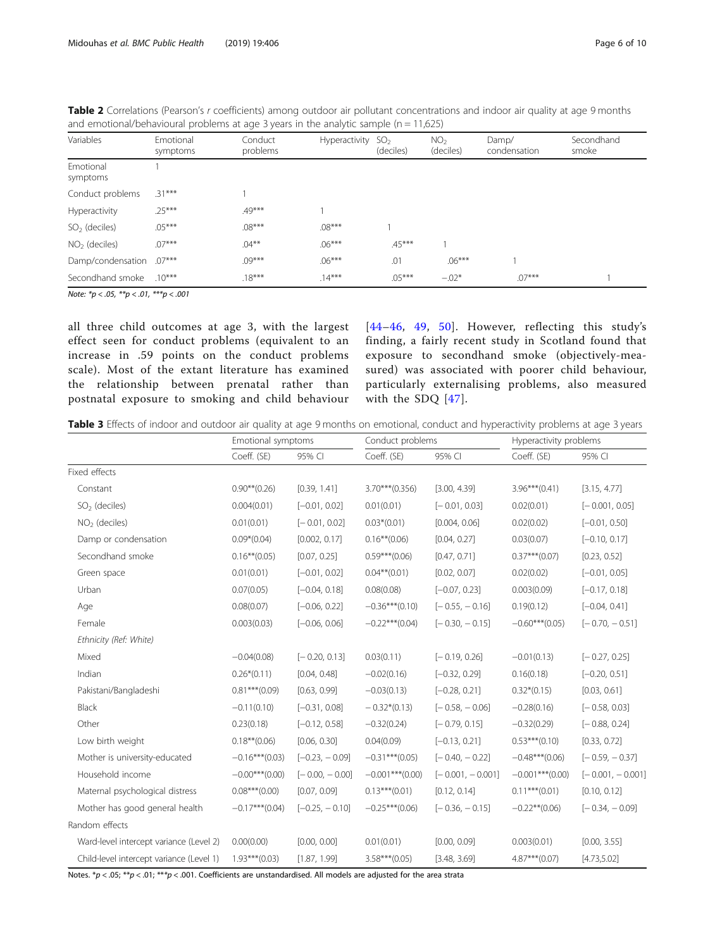| Variables             | Emotional<br>symptoms | Conduct<br>problems | Hyperactivity | SO <sub>2</sub><br>(deciles) | NO <sub>2</sub><br>(deciles) | Damp/<br>condensation | Secondhand<br>smoke |
|-----------------------|-----------------------|---------------------|---------------|------------------------------|------------------------------|-----------------------|---------------------|
| Emotional<br>symptoms |                       |                     |               |                              |                              |                       |                     |
| Conduct problems      | $.31***$              |                     |               |                              |                              |                       |                     |
| Hyperactivity         | $.25***$              | .49***              |               |                              |                              |                       |                     |
| $SO2$ (deciles)       | $.05***$              | $.08***$            | $.08***$      |                              |                              |                       |                     |
| $NO2$ (deciles)       | $.07***$              | $.04***$            | $.06***$      | $.45***$                     |                              |                       |                     |
| Damp/condensation     | $.07***$              | $.09***$            | $.06***$      | .01                          | $.06***$                     |                       |                     |
| Secondhand smoke      | $.10***$              | $.18***$            | $.14***$      | $.05***$                     | $-.02*$                      | $.07***$              |                     |

<span id="page-5-0"></span>Table 2 Correlations (Pearson's r coefficients) among outdoor air pollutant concentrations and indoor air quality at age 9 months and emotional/behavioural problems at age 3 years in the analytic sample ( $n = 11,625$ )

Note:  $*_{p}$  < .05,  $*_{p}$  < .01,  $*_{p}$  < .001

all three child outcomes at age 3, with the largest effect seen for conduct problems (equivalent to an increase in .59 points on the conduct problems scale). Most of the extant literature has examined the relationship between prenatal rather than postnatal exposure to smoking and child behaviour [[44](#page-8-0)–[46](#page-8-0), [49,](#page-8-0) [50](#page-8-0)]. However, reflecting this study's finding, a fairly recent study in Scotland found that exposure to secondhand smoke (objectively-measured) was associated with poorer child behaviour, particularly externalising problems, also measured with the SDQ [[47\]](#page-8-0).

|  |  |  |  |  |  | Table 3 Effects of indoor and outdoor air quality at age 9 months on emotional, conduct and hyperactivity problems at age 3 years |
|--|--|--|--|--|--|-----------------------------------------------------------------------------------------------------------------------------------|
|--|--|--|--|--|--|-----------------------------------------------------------------------------------------------------------------------------------|

|                                          | Emotional symptoms |                  | Conduct problems  |                    |                     | Hyperactivity problems |  |
|------------------------------------------|--------------------|------------------|-------------------|--------------------|---------------------|------------------------|--|
|                                          | Coeff. (SE)        | 95% CI           | Coeff. (SE)       | 95% CI             | Coeff. (SE)         | 95% CI                 |  |
| Fixed effects                            |                    |                  |                   |                    |                     |                        |  |
| Constant                                 | $0.90**$ (0.26)    | [0.39, 1.41]     | $3.70***$ (0.356) | [3.00, 4.39]       | $3.96***(0.41)$     | [3.15, 4.77]           |  |
| $SO2$ (deciles)                          | 0.004(0.01)        | $[-0.01, 0.02]$  | 0.01(0.01)        | $[-0.01, 0.03]$    | 0.02(0.01)          | $[-0.001, 0.05]$       |  |
| $NO2$ (deciles)                          | 0.01(0.01)         | $[-0.01, 0.02]$  | $0.03*(0.01)$     | [0.004, 0.06]      | 0.02(0.02)          | $[-0.01, 0.50]$        |  |
| Damp or condensation                     | $0.09*(0.04)$      | [0.002, 0.17]    | $0.16***(0.06)$   | [0.04, 0.27]       | 0.03(0.07)          | $[-0.10, 0.17]$        |  |
| Secondhand smoke                         | $0.16***(0.05)$    | [0.07, 0.25]     | $0.59***(0.06)$   | [0.47, 0.71]       | $0.37***(0.07)$     | [0.23, 0.52]           |  |
| Green space                              | 0.01(0.01)         | $[-0.01, 0.02]$  | $0.04***(0.01)$   | [0.02, 0.07]       | 0.02(0.02)          | $[-0.01, 0.05]$        |  |
| Urban                                    | 0.07(0.05)         | $[-0.04, 0.18]$  | 0.08(0.08)        | $[-0.07, 0.23]$    | 0.003(0.09)         | $[-0.17, 0.18]$        |  |
| Age                                      | 0.08(0.07)         | $[-0.06, 0.22]$  | $-0.36***(0.10)$  | $[-0.55, -0.16]$   | 0.19(0.12)          | $[-0.04, 0.41]$        |  |
| Female                                   | 0.003(0.03)        | $[-0.06, 0.06]$  | $-0.22***(0.04)$  | $[-0.30, -0.15]$   | $-0.60***(0.05)$    | $[-0.70, -0.51]$       |  |
| Ethnicity (Ref: White)                   |                    |                  |                   |                    |                     |                        |  |
| Mixed                                    | $-0.04(0.08)$      | $[-0.20, 0.13]$  | 0.03(0.11)        | $[-0.19, 0.26]$    | $-0.01(0.13)$       | $[-0.27, 0.25]$        |  |
| Indian                                   | $0.26*(0.11)$      | [0.04, 0.48]     | $-0.02(0.16)$     | $[-0.32, 0.29]$    | 0.16(0.18)          | $[-0.20, 0.51]$        |  |
| Pakistani/Bangladeshi                    | $0.81***(0.09)$    | [0.63, 0.99]     | $-0.03(0.13)$     | $[-0.28, 0.21]$    | $0.32*(0.15)$       | [0.03, 0.61]           |  |
| <b>Black</b>                             | $-0.11(0.10)$      | $[-0.31, 0.08]$  | $-0.32*(0.13)$    | $[-0.58, -0.06]$   | $-0.28(0.16)$       | $[-0.58, 0.03]$        |  |
| Other                                    | 0.23(0.18)         | $[-0.12, 0.58]$  | $-0.32(0.24)$     | $[-0.79, 0.15]$    | $-0.32(0.29)$       | $[-0.88, 0.24]$        |  |
| Low birth weight                         | $0.18***(0.06)$    | [0.06, 0.30]     | 0.04(0.09)        | $[-0.13, 0.21]$    | $0.53***(0.10)$     | [0.33, 0.72]           |  |
| Mother is university-educated            | $-0.16***(0.03)$   | $[-0.23, -0.09]$ | $-0.31***(0.05)$  | $[-0.40, -0.22]$   | $-0.48***(0.06)$    | $[-0.59, -0.37]$       |  |
| Household income                         | $-0.00***(0.00)$   | $[-0.00, -0.00]$ | $-0.001***(0.00)$ | $[-0.001, -0.001]$ | $-0.001***(0.00)$   | $[-0.001, -0.001]$     |  |
| Maternal psychological distress          | $0.08***(0.00)$    | [0.07, 0.09]     | $0.13***(0.01)$   | [0.12, 0.14]       | $0.11***(0.01)$     | [0.10, 0.12]           |  |
| Mother has good general health           | $-0.17***$ (0.04)  | $[-0.25, -0.10]$ | $-0.25***(0.06)$  | $[-0.36, -0.15]$   | $-0.22$ ** $(0.06)$ | $[-0.34, -0.09]$       |  |
| Random effects                           |                    |                  |                   |                    |                     |                        |  |
| Ward-level intercept variance (Level 2)  | 0.00(0.00)         | [0.00, 0.00]     | 0.01(0.01)        | [0.00, 0.09]       | 0.003(0.01)         | [0.00, 3.55]           |  |
| Child-level intercept variance (Level 1) | $1.93***(0.03)$    | [1.87, 1.99]     | $3.58***(0.05)$   | [3.48, 3.69]       | $4.87***(0.07)$     | [4.73, 5.02]           |  |

Notes.  $*p < .05; **p < .01; ***p < .001$ . Coefficients are unstandardised. All models are adjusted for the area strata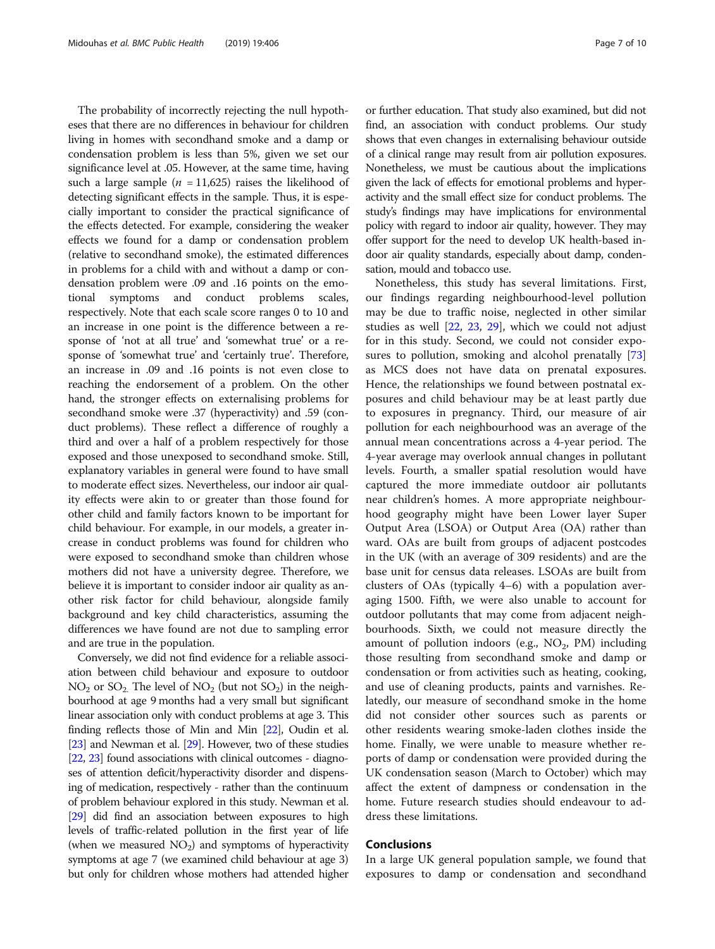The probability of incorrectly rejecting the null hypotheses that there are no differences in behaviour for children living in homes with secondhand smoke and a damp or condensation problem is less than 5%, given we set our significance level at .05. However, at the same time, having such a large sample ( $n = 11,625$ ) raises the likelihood of detecting significant effects in the sample. Thus, it is especially important to consider the practical significance of the effects detected. For example, considering the weaker effects we found for a damp or condensation problem (relative to secondhand smoke), the estimated differences in problems for a child with and without a damp or condensation problem were .09 and .16 points on the emotional symptoms and conduct problems scales, respectively. Note that each scale score ranges 0 to 10 and an increase in one point is the difference between a response of 'not at all true' and 'somewhat true' or a response of 'somewhat true' and 'certainly true'. Therefore, an increase in .09 and .16 points is not even close to reaching the endorsement of a problem. On the other hand, the stronger effects on externalising problems for secondhand smoke were .37 (hyperactivity) and .59 (conduct problems). These reflect a difference of roughly a third and over a half of a problem respectively for those exposed and those unexposed to secondhand smoke. Still, explanatory variables in general were found to have small to moderate effect sizes. Nevertheless, our indoor air quality effects were akin to or greater than those found for other child and family factors known to be important for child behaviour. For example, in our models, a greater increase in conduct problems was found for children who were exposed to secondhand smoke than children whose mothers did not have a university degree. Therefore, we believe it is important to consider indoor air quality as another risk factor for child behaviour, alongside family background and key child characteristics, assuming the differences we have found are not due to sampling error and are true in the population.

Conversely, we did not find evidence for a reliable association between child behaviour and exposure to outdoor  $NO<sub>2</sub>$  or  $SO<sub>2</sub>$ . The level of  $NO<sub>2</sub>$  (but not  $SO<sub>2</sub>$ ) in the neighbourhood at age 9 months had a very small but significant linear association only with conduct problems at age 3. This finding reflects those of Min and Min [[22](#page-8-0)], Oudin et al. [[23](#page-8-0)] and Newman et al. [[29\]](#page-8-0). However, two of these studies [[22](#page-8-0), [23](#page-8-0)] found associations with clinical outcomes - diagnoses of attention deficit/hyperactivity disorder and dispensing of medication, respectively - rather than the continuum of problem behaviour explored in this study. Newman et al. [[29](#page-8-0)] did find an association between exposures to high levels of traffic-related pollution in the first year of life (when we measured  $NO<sub>2</sub>$ ) and symptoms of hyperactivity symptoms at age 7 (we examined child behaviour at age 3) but only for children whose mothers had attended higher or further education. That study also examined, but did not find, an association with conduct problems. Our study shows that even changes in externalising behaviour outside of a clinical range may result from air pollution exposures. Nonetheless, we must be cautious about the implications given the lack of effects for emotional problems and hyperactivity and the small effect size for conduct problems. The study's findings may have implications for environmental policy with regard to indoor air quality, however. They may offer support for the need to develop UK health-based indoor air quality standards, especially about damp, condensation, mould and tobacco use.

Nonetheless, this study has several limitations. First, our findings regarding neighbourhood-level pollution may be due to traffic noise, neglected in other similar studies as well [\[22](#page-8-0), [23](#page-8-0), [29\]](#page-8-0), which we could not adjust for in this study. Second, we could not consider expo-sures to pollution, smoking and alcohol prenatally [[73](#page-9-0)] as MCS does not have data on prenatal exposures. Hence, the relationships we found between postnatal exposures and child behaviour may be at least partly due to exposures in pregnancy. Third, our measure of air pollution for each neighbourhood was an average of the annual mean concentrations across a 4-year period. The 4-year average may overlook annual changes in pollutant levels. Fourth, a smaller spatial resolution would have captured the more immediate outdoor air pollutants near children's homes. A more appropriate neighbourhood geography might have been Lower layer Super Output Area (LSOA) or Output Area (OA) rather than ward. OAs are built from groups of adjacent postcodes in the UK (with an average of 309 residents) and are the base unit for census data releases. LSOAs are built from clusters of OAs (typically 4–6) with a population averaging 1500. Fifth, we were also unable to account for outdoor pollutants that may come from adjacent neighbourhoods. Sixth, we could not measure directly the amount of pollution indoors (e.g.,  $NO<sub>2</sub>$ , PM) including those resulting from secondhand smoke and damp or condensation or from activities such as heating, cooking, and use of cleaning products, paints and varnishes. Relatedly, our measure of secondhand smoke in the home did not consider other sources such as parents or other residents wearing smoke-laden clothes inside the home. Finally, we were unable to measure whether reports of damp or condensation were provided during the UK condensation season (March to October) which may affect the extent of dampness or condensation in the home. Future research studies should endeavour to address these limitations.

# Conclusions

In a large UK general population sample, we found that exposures to damp or condensation and secondhand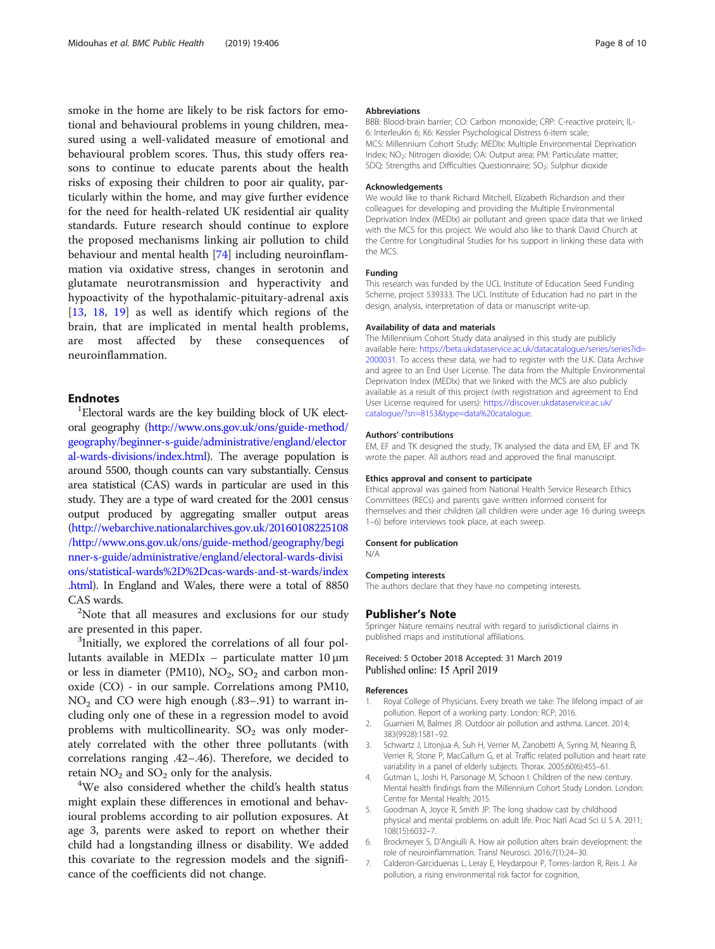<span id="page-7-0"></span>smoke in the home are likely to be risk factors for emotional and behavioural problems in young children, measured using a well-validated measure of emotional and behavioural problem scores. Thus, this study offers reasons to continue to educate parents about the health risks of exposing their children to poor air quality, particularly within the home, and may give further evidence for the need for health-related UK residential air quality standards. Future research should continue to explore the proposed mechanisms linking air pollution to child behaviour and mental health [\[74\]](#page-9-0) including neuroinflammation via oxidative stress, changes in serotonin and glutamate neurotransmission and hyperactivity and hypoactivity of the hypothalamic-pituitary-adrenal axis [[13,](#page-8-0) [18](#page-8-0), [19\]](#page-8-0) as well as identify which regions of the brain, that are implicated in mental health problems, are most affected by these consequences of neuroinflammation.

# **Endnotes**

Electoral wards are the key building block of UK electoral geography ([http://www.ons.gov.uk/ons/guide-method/](http://www.ons.gov.uk/ons/guide-method/geography/beginner-s-guide/administrative/england/electoral-wards-divisions/index.html) [geography/beginner-s-guide/administrative/england/elector](http://www.ons.gov.uk/ons/guide-method/geography/beginner-s-guide/administrative/england/electoral-wards-divisions/index.html) [al-wards-divisions/index.html](http://www.ons.gov.uk/ons/guide-method/geography/beginner-s-guide/administrative/england/electoral-wards-divisions/index.html)). The average population is around 5500, though counts can vary substantially. Census area statistical (CAS) wards in particular are used in this study. They are a type of ward created for the 2001 census output produced by aggregating smaller output areas ([http://webarchive.nationalarchives.gov.uk/20160108225108](http://webarchive.nationalarchives.gov.uk/20160108225108/http://www.ons.gov.uk/ons/guide-method/geography/beginner-s-guide/administrative/england/electoral-wards-divisions/statistical-wards%2D%2Dcas-wards-and-st-wards/index.html) [/http://www.ons.gov.uk/ons/guide-method/geography/begi](http://webarchive.nationalarchives.gov.uk/20160108225108/http://www.ons.gov.uk/ons/guide-method/geography/beginner-s-guide/administrative/england/electoral-wards-divisions/statistical-wards%2D%2Dcas-wards-and-st-wards/index.html) [nner-s-guide/administrative/england/electoral-wards-divisi](http://webarchive.nationalarchives.gov.uk/20160108225108/http://www.ons.gov.uk/ons/guide-method/geography/beginner-s-guide/administrative/england/electoral-wards-divisions/statistical-wards%2D%2Dcas-wards-and-st-wards/index.html) [ons/statistical-wards%2D%2Dcas-wards-and-st-wards/index](http://webarchive.nationalarchives.gov.uk/20160108225108/http://www.ons.gov.uk/ons/guide-method/geography/beginner-s-guide/administrative/england/electoral-wards-divisions/statistical-wards%2D%2Dcas-wards-and-st-wards/index.html) [.html](http://webarchive.nationalarchives.gov.uk/20160108225108/http://www.ons.gov.uk/ons/guide-method/geography/beginner-s-guide/administrative/england/electoral-wards-divisions/statistical-wards%2D%2Dcas-wards-and-st-wards/index.html)). In England and Wales, there were a total of 8850 CAS wards.

<sup>2</sup>Note that all measures and exclusions for our study are presented in this paper.

<sup>3</sup>Initially, we explored the correlations of all four pollutants available in MEDIx – particulate matter 10 μm or less in diameter (PM10),  $NO_2$ ,  $SO_2$  and carbon monoxide (CO) - in our sample. Correlations among PM10,  $NO<sub>2</sub>$  and CO were high enough (.83–.91) to warrant including only one of these in a regression model to avoid problems with multicollinearity.  $SO_2$  was only moderately correlated with the other three pollutants (with correlations ranging .42–.46). Therefore, we decided to retain  $NO<sub>2</sub>$  and  $SO<sub>2</sub>$  only for the analysis.

We also considered whether the child's health status might explain these differences in emotional and behavioural problems according to air pollution exposures. At age 3, parents were asked to report on whether their child had a longstanding illness or disability. We added this covariate to the regression models and the significance of the coefficients did not change.

#### Abbreviations

BBB: Blood-brain barrier; CO: Carbon monoxide; CRP: C-reactive protein; IL-6: Interleukin 6; K6: Kessler Psychological Distress 6-item scale; MCS: Millennium Cohort Study; MEDIx: Multiple Environmental Deprivation Index; NO<sub>2</sub>: Nitrogen dioxide; OA: Output area; PM: Particulate matter; SDQ: Strengths and Difficulties Questionnaire; SO<sub>2</sub>: Sulphur dioxide

#### Acknowledgements

We would like to thank Richard Mitchell, Elizabeth Richardson and their colleagues for developing and providing the Multiple Environmental Deprivation Index (MEDIx) air pollutant and green space data that we linked with the MCS for this project. We would also like to thank David Church at the Centre for Longitudinal Studies for his support in linking these data with the MCS.

#### Funding

This research was funded by the UCL Institute of Education Seed Funding Scheme, project 539333. The UCL Institute of Education had no part in the design, analysis, interpretation of data or manuscript write-up.

#### Availability of data and materials

The Millennium Cohort Study data analysed in this study are publicly available here: [https://beta.ukdataservice.ac.uk/datacatalogue/series/series?id=](https://beta.ukdataservice.ac.uk/datacatalogue/series/series?id=2000031) [2000031.](https://beta.ukdataservice.ac.uk/datacatalogue/series/series?id=2000031) To access these data, we had to register with the U.K. Data Archive and agree to an End User License. The data from the Multiple Environmental Deprivation Index (MEDIx) that we linked with the MCS are also publicly available as a result of this project (with registration and agreement to End User License required for users): [https://discover.ukdataservice.ac.uk/](https://discover.ukdataservice.ac.uk/catalogue/?sn=8153&type=data%20catalogue) [catalogue/?sn=8153&type=data%20catalogue](https://discover.ukdataservice.ac.uk/catalogue/?sn=8153&type=data%20catalogue).

#### Authors' contributions

EM, EF and TK designed the study, TK analysed the data and EM, EF and TK wrote the paper. All authors read and approved the final manuscript.

#### Ethics approval and consent to participate

Ethical approval was gained from National Health Service Research Ethics Committees (RECs) and parents gave written informed consent for themselves and their children (all children were under age 16 during sweeps 1–6) before interviews took place, at each sweep.

#### Consent for publication

N/A

#### Competing interests

The authors declare that they have no competing interests.

#### Publisher's Note

Springer Nature remains neutral with regard to jurisdictional claims in published maps and institutional affiliations.

### Received: 5 October 2018 Accepted: 31 March 2019 Published online: 15 April 2019

#### References

- 1. Royal College of Physicians. Every breath we take: The lifelong impact of air pollution. Report of a working party. London: RCP; 2016.
- 2. Guarnieri M, Balmes JR. Outdoor air pollution and asthma. Lancet. 2014; 383(9928):1581–92.
- 3. Schwartz J, Litonjua A, Suh H, Verrier M, Zanobetti A, Syring M, Nearing B, Verrier R, Stone P, MacCallum G, et al. Traffic related pollution and heart rate variability in a panel of elderly subjects. Thorax. 2005;60(6):455–61.
- Gutman L, Joshi H, Parsonage M, Schoon I. Children of the new century. Mental health findings from the Millennium Cohort Study London. London: Centre for Mental Health; 2015.
- 5. Goodman A, Joyce R, Smith JP. The long shadow cast by childhood physical and mental problems on adult life. Proc Natl Acad Sci U S A. 2011; 108(15):6032–7.
- 6. Brockmeyer S, D'Angiulli A. How air pollution alters brain development: the role of neuroinflammation. Transl Neurosci. 2016;7(1):24–30.
- 7. Calderon-Garciduenas L, Leray E, Heydarpour P, Torres-Jardon R, Reis J. Air pollution, a rising environmental risk factor for cognition,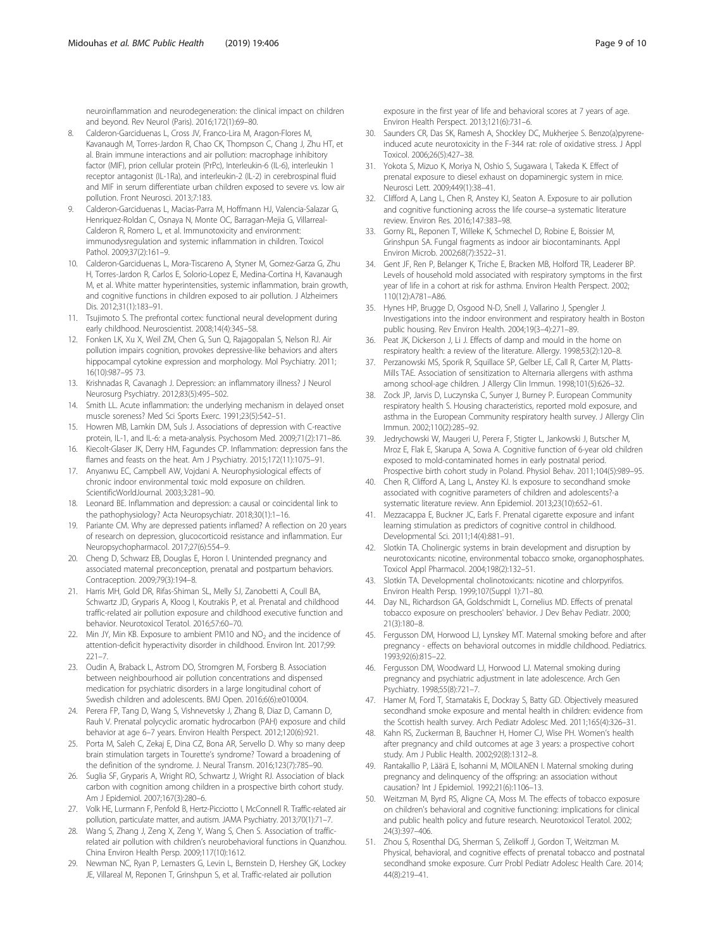<span id="page-8-0"></span>neuroinflammation and neurodegeneration: the clinical impact on children and beyond. Rev Neurol (Paris). 2016;172(1):69–80.

- 8. Calderon-Garciduenas L, Cross JV, Franco-Lira M, Aragon-Flores M, Kavanaugh M, Torres-Jardon R, Chao CK, Thompson C, Chang J, Zhu HT, et al. Brain immune interactions and air pollution: macrophage inhibitory factor (MIF), prion cellular protein (PrPc), Interleukin-6 (IL-6), interleukin 1 receptor antagonist (IL-1Ra), and interleukin-2 (IL-2) in cerebrospinal fluid and MIF in serum differentiate urban children exposed to severe vs. low air pollution. Front Neurosci. 2013;7:183.
- 9. Calderon-Garciduenas L, Macias-Parra M, Hoffmann HJ, Valencia-Salazar G, Henriquez-Roldan C, Osnaya N, Monte OC, Barragan-Mejia G, Villarreal-Calderon R, Romero L, et al. Immunotoxicity and environment: immunodysregulation and systemic inflammation in children. Toxicol Pathol. 2009;37(2):161–9.
- 10. Calderon-Garciduenas L, Mora-Tiscareno A, Styner M, Gomez-Garza G, Zhu H, Torres-Jardon R, Carlos E, Solorio-Lopez E, Medina-Cortina H, Kavanaugh M, et al. White matter hyperintensities, systemic inflammation, brain growth, and cognitive functions in children exposed to air pollution. J Alzheimers Dis. 2012;31(1):183–91.
- 11. Tsujimoto S. The prefrontal cortex: functional neural development during early childhood. Neuroscientist. 2008;14(4):345–58.
- 12. Fonken LK, Xu X, Weil ZM, Chen G, Sun Q, Rajagopalan S, Nelson RJ. Air pollution impairs cognition, provokes depressive-like behaviors and alters hippocampal cytokine expression and morphology. Mol Psychiatry. 2011; 16(10):987–95 73.
- 13. Krishnadas R, Cavanagh J. Depression: an inflammatory illness? J Neurol Neurosurg Psychiatry. 2012;83(5):495–502.
- 14. Smith LL. Acute inflammation: the underlying mechanism in delayed onset muscle soreness? Med Sci Sports Exerc. 1991;23(5):542–51.
- 15. Howren MB, Lamkin DM, Suls J. Associations of depression with C-reactive protein, IL-1, and IL-6: a meta-analysis. Psychosom Med. 2009;71(2):171–86.
- 16. Kiecolt-Glaser JK, Derry HM, Fagundes CP. Inflammation: depression fans the flames and feasts on the heat. Am J Psychiatry. 2015;172(11):1075–91.
- 17. Anyanwu EC, Campbell AW, Vojdani A. Neurophysiological effects of chronic indoor environmental toxic mold exposure on children. ScientificWorldJournal. 2003;3:281–90.
- 18. Leonard BE. Inflammation and depression: a causal or coincidental link to the pathophysiology? Acta Neuropsychiatr. 2018;30(1):1–16.
- 19. Pariante CM. Why are depressed patients inflamed? A reflection on 20 years of research on depression, glucocorticoid resistance and inflammation. Eur Neuropsychopharmacol. 2017;27(6):554–9.
- 20. Cheng D, Schwarz EB, Douglas E, Horon I. Unintended pregnancy and associated maternal preconception, prenatal and postpartum behaviors. Contraception. 2009;79(3):194–8.
- 21. Harris MH, Gold DR, Rifas-Shiman SL, Melly SJ, Zanobetti A, Coull BA, Schwartz JD, Gryparis A, Kloog I, Koutrakis P, et al. Prenatal and childhood traffic-related air pollution exposure and childhood executive function and behavior. Neurotoxicol Teratol. 2016;57:60–70.
- 22. Min JY, Min KB. Exposure to ambient PM10 and  $NO<sub>2</sub>$  and the incidence of attention-deficit hyperactivity disorder in childhood. Environ Int. 2017;99: 221–7.
- 23. Oudin A, Braback L, Astrom DO, Stromgren M, Forsberg B. Association between neighbourhood air pollution concentrations and dispensed medication for psychiatric disorders in a large longitudinal cohort of Swedish children and adolescents. BMJ Open. 2016;6(6):e010004.
- 24. Perera FP, Tang D, Wang S, Vishnevetsky J, Zhang B, Diaz D, Camann D, Rauh V. Prenatal polycyclic aromatic hydrocarbon (PAH) exposure and child behavior at age 6–7 years. Environ Health Perspect. 2012;120(6):921.
- 25. Porta M, Saleh C, Zekaj E, Dina CZ, Bona AR, Servello D. Why so many deep brain stimulation targets in Tourette's syndrome? Toward a broadening of the definition of the syndrome. J. Neural Transm. 2016;123(7):785–90.
- 26. Suglia SF, Gryparis A, Wright RO, Schwartz J, Wright RJ. Association of black carbon with cognition among children in a prospective birth cohort study. Am J Epidemiol. 2007;167(3):280–6.
- 27. Volk HE, Lurmann F, Penfold B, Hertz-Picciotto I, McConnell R. Traffic-related air pollution, particulate matter, and autism. JAMA Psychiatry. 2013;70(1):71–7.
- 28. Wang S, Zhang J, Zeng X, Zeng Y, Wang S, Chen S. Association of trafficrelated air pollution with children's neurobehavioral functions in Quanzhou. China Environ Health Persp. 2009;117(10):1612.
- 29. Newman NC, Ryan P, Lemasters G, Levin L, Bernstein D, Hershey GK, Lockey JE, Villareal M, Reponen T, Grinshpun S, et al. Traffic-related air pollution

exposure in the first year of life and behavioral scores at 7 years of age. Environ Health Perspect. 2013;121(6):731–6.

- 30. Saunders CR, Das SK, Ramesh A, Shockley DC, Mukherjee S. Benzo(a)pyreneinduced acute neurotoxicity in the F-344 rat: role of oxidative stress. J Appl Toxicol. 2006;26(5):427–38.
- 31. Yokota S, Mizuo K, Moriya N, Oshio S, Sugawara I, Takeda K. Effect of prenatal exposure to diesel exhaust on dopaminergic system in mice. Neurosci Lett. 2009;449(1):38–41.
- 32. Clifford A, Lang L, Chen R, Anstey KJ, Seaton A. Exposure to air pollution and cognitive functioning across the life course–a systematic literature review. Environ Res. 2016;147:383–98.
- 33. Gorny RL, Reponen T, Willeke K, Schmechel D, Robine E, Boissier M, Grinshpun SA. Fungal fragments as indoor air biocontaminants. Appl Environ Microb. 2002;68(7):3522–31.
- 34. Gent JF, Ren P, Belanger K, Triche E, Bracken MB, Holford TR, Leaderer BP. Levels of household mold associated with respiratory symptoms in the first year of life in a cohort at risk for asthma. Environ Health Perspect. 2002; 110(12):A781–A86.
- 35. Hynes HP, Brugge D, Osgood N-D, Snell J, Vallarino J, Spengler J. Investigations into the indoor environment and respiratory health in Boston public housing. Rev Environ Health. 2004;19(3–4):271–89.
- Peat JK, Dickerson J, Li J. Effects of damp and mould in the home on respiratory health: a review of the literature. Allergy. 1998;53(2):120–8.
- 37. Perzanowski MS, Sporik R, Squillace SP, Gelber LE, Call R, Carter M, Platts-Mills TAE. Association of sensitization to Alternaria allergens with asthma among school-age children. J Allergy Clin Immun. 1998;101(5):626–32.
- 38. Zock JP, Jarvis D, Luczynska C, Sunyer J, Burney P. European Community respiratory health S. Housing characteristics, reported mold exposure, and asthma in the European Community respiratory health survey. J Allergy Clin Immun. 2002;110(2):285–92.
- 39. Jedrychowski W, Maugeri U, Perera F, Stigter L, Jankowski J, Butscher M, Mroz E, Flak E, Skarupa A, Sowa A. Cognitive function of 6-year old children exposed to mold-contaminated homes in early postnatal period. Prospective birth cohort study in Poland. Physiol Behav. 2011;104(5):989–95.
- 40. Chen R, Clifford A, Lang L, Anstey KJ. Is exposure to secondhand smoke associated with cognitive parameters of children and adolescents?-a systematic literature review. Ann Epidemiol. 2013;23(10):652–61.
- 41. Mezzacappa E, Buckner JC, Earls F. Prenatal cigarette exposure and infant learning stimulation as predictors of cognitive control in childhood. Developmental Sci. 2011;14(4):881–91.
- 42. Slotkin TA. Cholinergic systems in brain development and disruption by neurotoxicants: nicotine, environmental tobacco smoke, organophosphates. Toxicol Appl Pharmacol. 2004;198(2):132–51.
- 43. Slotkin TA. Developmental cholinotoxicants: nicotine and chlorpyrifos. Environ Health Persp. 1999;107(Suppl 1):71–80.
- 44. Day NL, Richardson GA, Goldschmidt L, Cornelius MD. Effects of prenatal tobacco exposure on preschoolers' behavior. J Dev Behav Pediatr. 2000; 21(3):180–8.
- 45. Fergusson DM, Horwood LJ, Lynskey MT. Maternal smoking before and after pregnancy - effects on behavioral outcomes in middle childhood. Pediatrics. 1993;92(6):815–22.
- 46. Fergusson DM, Woodward LJ, Horwood LJ. Maternal smoking during pregnancy and psychiatric adjustment in late adolescence. Arch Gen Psychiatry. 1998;55(8):721–7.
- 47. Hamer M, Ford T, Stamatakis E, Dockray S, Batty GD. Objectively measured secondhand smoke exposure and mental health in children: evidence from the Scottish health survey. Arch Pediatr Adolesc Med. 2011;165(4):326–31.
- 48. Kahn RS, Zuckerman B, Bauchner H, Homer CJ, Wise PH. Women's health after pregnancy and child outcomes at age 3 years: a prospective cohort study. Am J Public Health. 2002;92(8):1312–8.
- 49. Rantakallio P, Läärä E, Isohanni M, MOILANEN I. Maternal smoking during pregnancy and delinquency of the offspring: an association without causation? Int J Epidemiol. 1992;21(6):1106–13.
- 50. Weitzman M, Byrd RS, Aligne CA, Moss M. The effects of tobacco exposure on children's behavioral and cognitive functioning: implications for clinical and public health policy and future research. Neurotoxicol Teratol. 2002; 24(3):397–406.
- 51. Zhou S, Rosenthal DG, Sherman S, Zelikoff J, Gordon T, Weitzman M. Physical, behavioral, and cognitive effects of prenatal tobacco and postnatal secondhand smoke exposure. Curr Probl Pediatr Adolesc Health Care. 2014; 44(8):219–41.